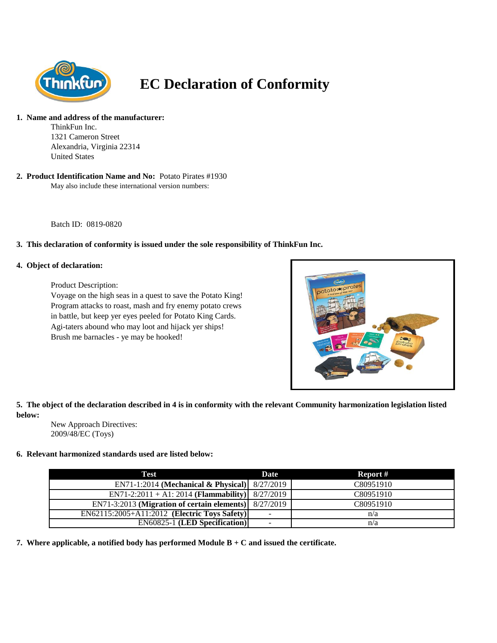

# **EC Declaration of Conformity**

#### **1. Name and address of the manufacturer:**

ThinkFun Inc. 1321 Cameron Street Alexandria, Virginia 22314 United States

May also include these international version numbers: **2. Product Identification Name and No:** Potato Pirates #1930

Batch ID: 0819-0820

### **3. This declaration of conformity is issued under the sole responsibility of ThinkFun Inc.**

#### **4. Object of declaration:**

Product Description:

Voyage on the high seas in a quest to save the Potato King! Program attacks to roast, mash and fry enemy potato crews in battle, but keep yer eyes peeled for Potato King Cards. Agi-taters abound who may loot and hijack yer ships! Brush me barnacles - ye may be hooked!



**5. The object of the declaration described in 4 is in conformity with the relevant Community harmonization legislation listed below:**

New Approach Directives: 2009/48/EC (Toys)

#### **6. Relevant harmonized standards used are listed below:**

| Test                                                      | Date.                    | Report #  |
|-----------------------------------------------------------|--------------------------|-----------|
| EN71-1:2014 (Mechanical & Physical) $8/27/2019$           |                          | C80951910 |
| $EN71-2:2011 + A1:2014 (Flammaibility)$                   | 8/27/2019                | C80951910 |
| $EN71-3:2013$ (Migration of certain elements) $8/27/2019$ |                          | C80951910 |
| EN62115:2005+A11:2012 (Electric Toys Safety)              | $\overline{\phantom{0}}$ | n/a       |
| <b>EN60825-1 (LED Specification)</b>                      | $\overline{\phantom{0}}$ | n/a       |

**7. Where applicable, a notified body has performed Module B + C and issued the certificate.**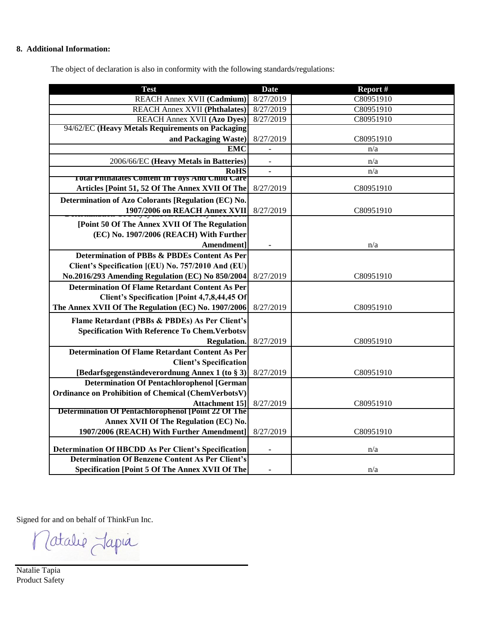## **8. Additional Information:**

The object of declaration is also in conformity with the following standards/regulations:

| <b>Test</b>                                                | <b>Date</b> | Report #  |
|------------------------------------------------------------|-------------|-----------|
| <b>REACH Annex XVII (Cadmium)</b>                          | 8/27/2019   | C80951910 |
| <b>REACH Annex XVII (Phthalates)</b>                       | 8/27/2019   | C80951910 |
| <b>REACH Annex XVII (Azo Dyes)</b>                         | 8/27/2019   | C80951910 |
| 94/62/EC (Heavy Metals Requirements on Packaging           |             |           |
| and Packaging Waste)                                       | 8/27/2019   | C80951910 |
| <b>EMC</b>                                                 |             | n/a       |
| 2006/66/EC (Heavy Metals in Batteries)                     |             | n/a       |
| <b>RoHS</b>                                                |             | n/a       |
| <b>Total Phthalates Content In Toys And Child Care</b>     |             |           |
| Articles [Point 51, 52 Of The Annex XVII Of The            | 8/27/2019   | C80951910 |
| Determination of Azo Colorants [Regulation (EC) No.        |             |           |
| 1907/2006 on REACH Annex XVII                              | 8/27/2019   | C80951910 |
| [Point 50 Of The Annex XVII Of The Regulation              |             |           |
| (EC) No. 1907/2006 (REACH) With Further                    |             |           |
| Amendment]                                                 |             | n/a       |
| Determination of PBBs & PBDEs Content As Per               |             |           |
| Client's Specification [(EU) No. 757/2010 And (EU)         |             |           |
| No.2016/293 Amending Regulation (EC) No 850/2004           | 8/27/2019   | C80951910 |
| <b>Determination Of Flame Retardant Content As Per</b>     |             |           |
| Client's Specification [Point 4,7,8,44,45 Of               |             |           |
| The Annex XVII Of The Regulation (EC) No. 1907/2006        | 8/27/2019   | C80951910 |
| Flame Retardant (PBBs & PBDEs) As Per Client's             |             |           |
| <b>Specification With Reference To Chem. Verbotsv</b>      |             |           |
| <b>Regulation</b>                                          | 8/27/2019   | C80951910 |
| <b>Determination Of Flame Retardant Content As Per</b>     |             |           |
| <b>Client's Specification</b>                              |             |           |
| [Bedarfsgegenständeverordnung Annex 1 (to § 3)             | 8/27/2019   | C80951910 |
| <b>Determination Of Pentachlorophenol [German</b>          |             |           |
| Ordinance on Prohibition of Chemical (ChemVerbotsV)        |             |           |
| <b>Attachment 151</b>                                      | 8/27/2019   | C80951910 |
| <b>Determination Of Pentachlorophenol [Point 22 Of The</b> |             |           |
| Annex XVII Of The Regulation (EC) No.                      |             |           |
| 1907/2006 (REACH) With Further Amendment]                  | 8/27/2019   | C80951910 |
| Determination Of HBCDD As Per Client's Specification       |             | n/a       |
| <b>Determination Of Benzene Content As Per Client's</b>    |             |           |
| <b>Specification [Point 5 Of The Annex XVII Of The</b>     |             | n/a       |

Signed for and on behalf of ThinkFun Inc.

Zatalie Japia  $\sqrt{2}$ 

Natalie Tapia Product Safety